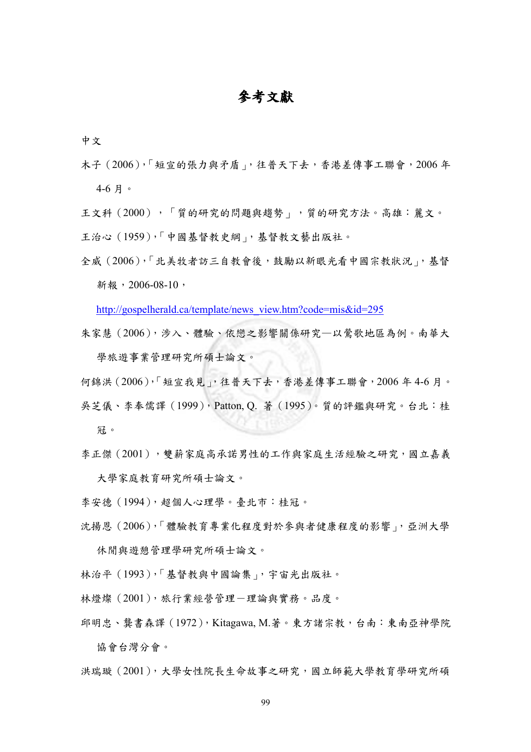## 參考文獻

中文

木子(2006),「短宣的張力與矛盾」,往普天下去,香港差傳事工聯會,2006 年 4-6 月。

王文科(2000),「質的研究的問題與趨勢」,質的研究方法。高雄:麗文。

- 王治心(1959),「中國基督教史綱」,基督教文藝出版社。
- 全威(2006),「北美牧者訪三自教會後,鼓勵以新眼光看中國宗教狀況」,基督 新報, 2006-08-10,

http://gospelherald.ca/template/news\_view.htm?code=mis&id=295

- 朱家慧(2006),涉入、體驗、依戀之影響關係研究—以鶯歌地區為例。南華大 學旅遊事業管理研究所碩士論文。
- 何錦洪(2006),「短宣我見」,往普天下去,香港差傳事工聯會,2006 年 4-6 月。 吳芝儀、李奉儒譯(1999),Patton, Q. 著(1995)。質的評鑑與研究。台北:桂 冠。
- 李正傑(2001),雙薪家庭高承諾男性的工作與家庭生活經驗之研究,國立嘉義 大學家庭教育研究所碩士論文。
- 李安德(1994),超個人心理學。臺北市:桂冠。
- 沈揚恩(2006),「體驗教育專業化程度對於參與者健康程度的影響」,亞洲大學 休閒與遊憩管理學研究所碩士論文。
- 林治平(1993),「基督教與中國論集」,宇宙光出版社。
- 林燈燦 (2001),旅行業經營管理-理論與實務。品度。
- 邱明忠、龔書森譯(1972),Kitagawa, M.著。東方諸宗教,台南:東南亞神學院 協會台灣分會。

洪瑞璇(2001),大學女性院長生命故事之研究,國立師範大學教育學研究所碩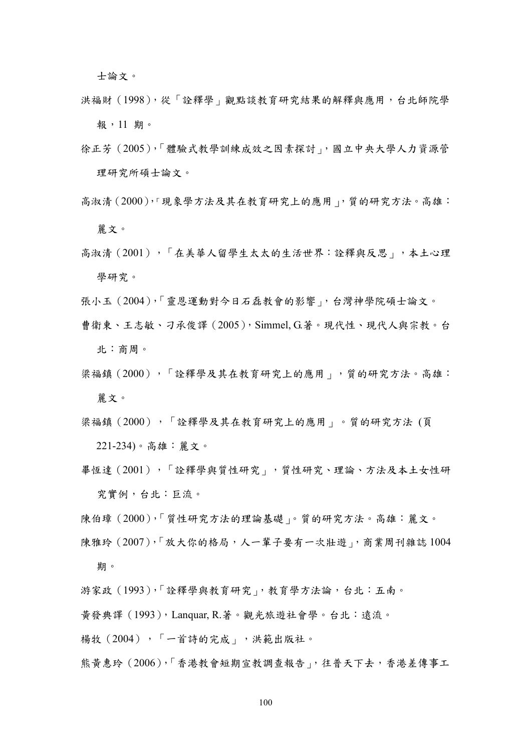士論文。

- 洪福財(1998),從「詮釋學」觀點談教育研究結果的解釋與應用,台北師院學 報,11 期。
- 徐正芳(2005),「體驗式教學訓練成效之因素探討」,國立中央大學人力資源管 理研究所碩士論文。
- 高淑清(2000),「現象學方法及其在教育研究上的應用」,質的研究方法。高雄: 麗文。
- 高淑清(2001),「在美華人留學生太太的生活世界:詮釋與反思」,本土心理 學研究。
- 張小玉(2004),「靈恩運動對今日石磊教會的影響」,台灣神學院碩士論文。
- 曹衛東、王志敏、刁承俊譯(2005),Simmel, G.著。現代性、現代人與宗教。台 北:商周。
- 梁福鎮(2000),「詮釋學及其在教育研究上的應用」,質的研究方法。高雄: 麗文。
- 梁福鎮(2000),「詮釋學及其在教育研究上的應用」。質的研究方法(頁 221-234)。高雄:麗文。
- 畢恆達(2001),「詮釋學與質性研究」,質性研究、理論、方法及本土女性研 究實例,台北:巨流。
- 陳伯璋(2000),「質性研究方法的理論基礎」。質的研究方法。高雄:麗文。
- 陳雅玲(2007),「放大你的格局,人一輩子要有一次壯遊」,商業周刊雜誌1004 期。
- 游家政(1993),「詮釋學與教育研究」,教育學方法論,台北:五南。
- 黃發典譯(1993),Lanquar, R.著。觀光旅遊社會學。台北:遠流。

揚牧(2004),「一首詩的完成」,洪範出版社。

熊黃惠玲(2006),「香港教會短期宣教調查報告」,往普天下去,香港差傳事工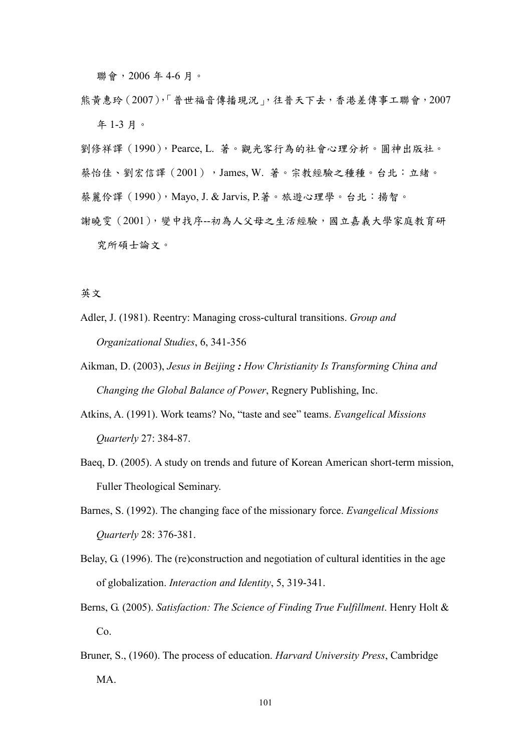聯會,2006 年 4-6 月。

熊黃惠玲(2007),「普世福音傳播現況」,往普天下去,香港差傳事工聯會,2007 年 1-3 月。

劉修祥譯(1990),Pearce, L. 著。觀光客行為的社會心理分析。圓神出版社。

- 蔡怡佳、劉宏信譯 (2001), James, W. 著。宗教經驗之種種。台北:立緒。
- 蔡麗伶譯(1990),Mayo, J. & Jarvis, P.著。旅遊心理學。台北:揚智。
- 謝曉雯(2001),變中找序--初為人父母之生活經驗,國立嘉義大學家庭教育研 究所碩士論文。

## 英文

- Adler, J. (1981). Reentry: Managing cross-cultural transitions. Group and Organizational Studies, 6, 341-356
- Aikman, D. (2003), Jesus in Beijing : How Christianity Is Transforming China and Changing the Global Balance of Power, Regnery Publishing, Inc.
- Atkins, A. (1991). Work teams? No, "taste and see" teams. Evangelical Missions Quarterly 27: 384-87.
- Baeq, D. (2005). A study on trends and future of Korean American short-term mission, Fuller Theological Seminary.
- Barnes, S. (1992). The changing face of the missionary force. Evangelical Missions Quarterly 28: 376-381.
- Belay, G. (1996). The (re)construction and negotiation of cultural identities in the age of globalization. Interaction and Identity, 5, 319-341.
- Berns, G. (2005). Satisfaction: The Science of Finding True Fulfillment. Henry Holt &  $Co<sub>1</sub>$
- Bruner, S., (1960). The process of education. Harvard University Press, Cambridge MA.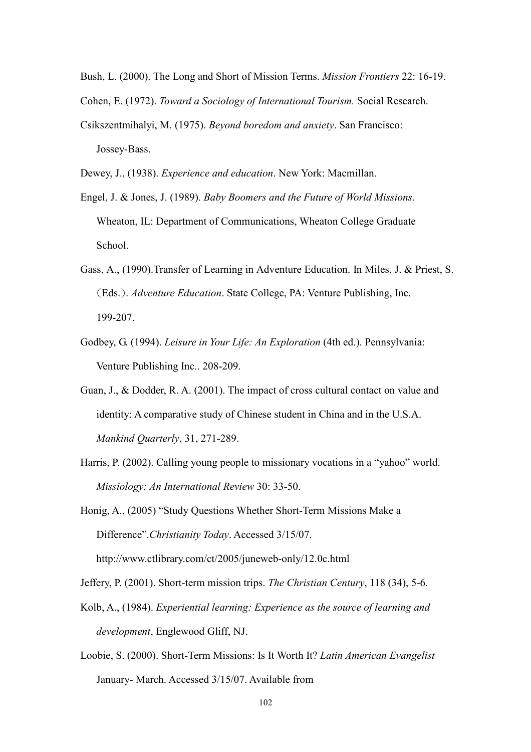Bush, L. (2000). The Long and Short of Mission Terms. Mission Frontiers 22: 16-19. Cohen, E. (1972). Toward a Sociology of International Tourism. Social Research.

Csikszentmihalyi, M. (1975). Beyond boredom and anxiety. San Francisco: Jossey-Bass.

Dewey, J., (1938). Experience and education. New York: Macmillan.

- Engel, J. & Jones, J. (1989). Baby Boomers and the Future of World Missions. Wheaton, IL: Department of Communications, Wheaton College Graduate School.
- Gass, A., (1990).Transfer of Learning in Adventure Education. In Miles, J. & Priest, S. (Eds.). Adventure Education. State College, PA: Venture Publishing, Inc. 199-207.
- Godbey, G. (1994). Leisure in Your Life: An Exploration (4th ed.). Pennsylvania: Venture Publishing Inc.. 208-209.
- Guan, J., & Dodder, R. A. (2001). The impact of cross cultural contact on value and identity: A comparative study of Chinese student in China and in the U.S.A. Mankind Quarterly, 31, 271-289.
- Harris, P. (2002). Calling young people to missionary vocations in a "yahoo" world. Missiology: An International Review 30: 33-50.

Honig, A., (2005) "Study Questions Whether Short-Term Missions Make a Difference".Christianity Today. Accessed 3/15/07.

http://www.ctlibrary.com/ct/2005/juneweb-only/12.0c.html

Jeffery, P. (2001). Short-term mission trips. The Christian Century, 118 (34), 5-6.

- Kolb, A., (1984). Experiential learning: Experience as the source of learning and development, Englewood Gliff, NJ.
- Loobie, S. (2000). Short-Term Missions: Is It Worth It? Latin American Evangelist January- March. Accessed 3/15/07. Available from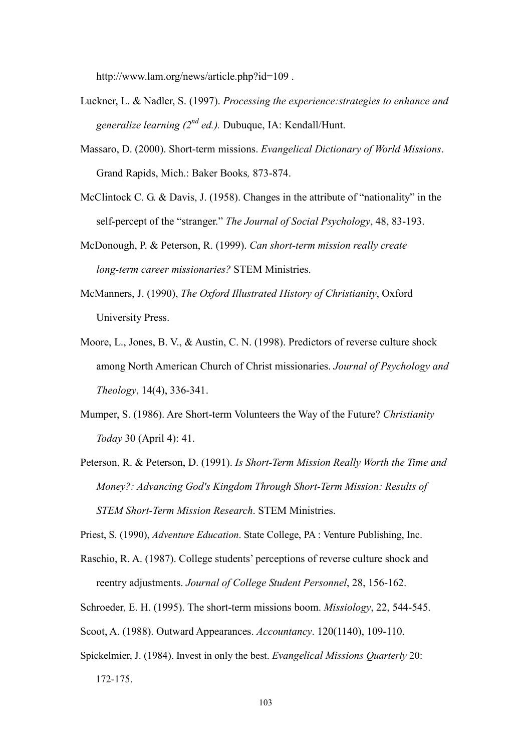http://www.lam.org/news/article.php?id=109 .

- Luckner, L. & Nadler, S. (1997). Processing the experience:strategies to enhance and generalize learning  $(2^{nd}$  ed.). Dubuque, IA: Kendall/Hunt.
- Massaro, D. (2000). Short-term missions. Evangelical Dictionary of World Missions. Grand Rapids, Mich.: Baker Books, 873-874.
- McClintock C. G. & Davis, J. (1958). Changes in the attribute of "nationality" in the self-percept of the "stranger." The Journal of Social Psychology, 48, 83-193.

McDonough, P. & Peterson, R. (1999). Can short-term mission really create long-term career missionaries? STEM Ministries.

- McManners, J. (1990), The Oxford Illustrated History of Christianity, Oxford University Press.
- Moore, L., Jones, B. V., & Austin, C. N. (1998). Predictors of reverse culture shock among North American Church of Christ missionaries. Journal of Psychology and Theology, 14(4), 336-341.
- Mumper, S. (1986). Are Short-term Volunteers the Way of the Future? Christianity Today 30 (April 4): 41.
- Peterson, R. & Peterson, D. (1991). Is Short-Term Mission Really Worth the Time and Money?: Advancing God's Kingdom Through Short-Term Mission: Results of STEM Short-Term Mission Research. STEM Ministries.
- Priest, S. (1990), Adventure Education. State College, PA : Venture Publishing, Inc.
- Raschio, R. A. (1987). College students' perceptions of reverse culture shock and reentry adjustments. Journal of College Student Personnel, 28, 156-162.
- Schroeder, E. H. (1995). The short-term missions boom. Missiology, 22, 544-545.
- Scoot, A. (1988). Outward Appearances. Accountancy. 120(1140), 109-110.
- Spickelmier, J. (1984). Invest in only the best. Evangelical Missions Quarterly 20:

172-175.